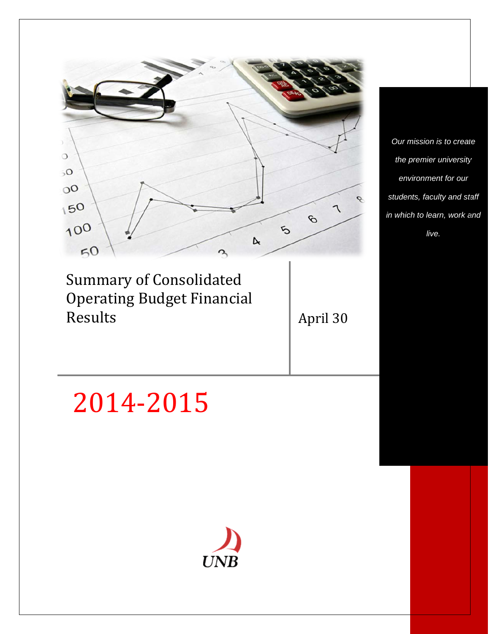

Summary of Consolidated Operating Budget Financial

April 30

# 2014-2015



*Our mission is to create the premier university environment for our students, faculty and staff in which to learn, work and live.*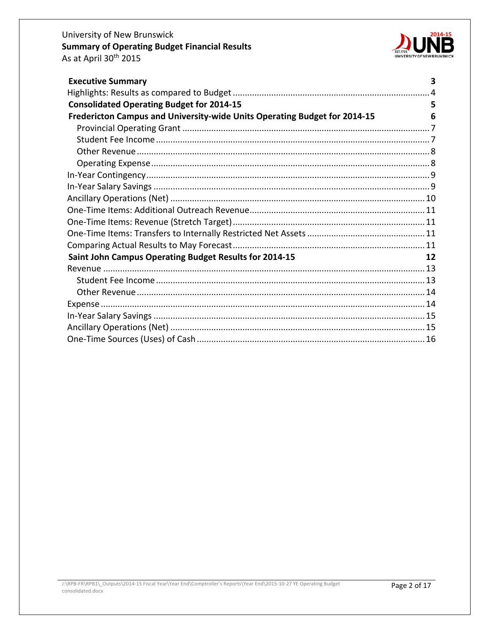# University of New Brunswick **Summary of Operating Budget Financial Results** As at April 30<sup>th</sup> 2015



| <b>Executive Summary</b>                                                  | 3  |
|---------------------------------------------------------------------------|----|
|                                                                           |    |
| <b>Consolidated Operating Budget for 2014-15</b>                          | 5  |
| Fredericton Campus and University-wide Units Operating Budget for 2014-15 | 6  |
|                                                                           |    |
|                                                                           |    |
|                                                                           |    |
|                                                                           |    |
|                                                                           |    |
|                                                                           |    |
|                                                                           |    |
|                                                                           |    |
|                                                                           |    |
|                                                                           |    |
|                                                                           |    |
| Saint John Campus Operating Budget Results for 2014-15                    | 12 |
|                                                                           |    |
|                                                                           |    |
|                                                                           |    |
|                                                                           |    |
|                                                                           |    |
|                                                                           |    |
|                                                                           |    |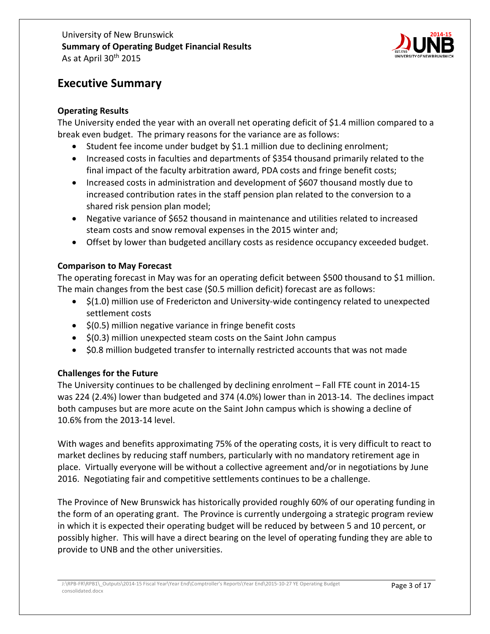

# <span id="page-2-0"></span>**Executive Summary**

# **Operating Results**

The University ended the year with an overall net operating deficit of \$1.4 million compared to a break even budget. The primary reasons for the variance are as follows:

- Student fee income under budget by \$1.1 million due to declining enrolment;
- Increased costs in faculties and departments of \$354 thousand primarily related to the final impact of the faculty arbitration award, PDA costs and fringe benefit costs;
- Increased costs in administration and development of \$607 thousand mostly due to increased contribution rates in the staff pension plan related to the conversion to a shared risk pension plan model;
- Negative variance of \$652 thousand in maintenance and utilities related to increased steam costs and snow removal expenses in the 2015 winter and;
- Offset by lower than budgeted ancillary costs as residence occupancy exceeded budget.

# **Comparison to May Forecast**

The operating forecast in May was for an operating deficit between \$500 thousand to \$1 million. The main changes from the best case (\$0.5 million deficit) forecast are as follows:

- \$(1.0) million use of Fredericton and University-wide contingency related to unexpected settlement costs
- \$(0.5) million negative variance in fringe benefit costs
- \$(0.3) million unexpected steam costs on the Saint John campus
- \$0.8 million budgeted transfer to internally restricted accounts that was not made

# **Challenges for the Future**

The University continues to be challenged by declining enrolment – Fall FTE count in 2014-15 was 224 (2.4%) lower than budgeted and 374 (4.0%) lower than in 2013-14. The declines impact both campuses but are more acute on the Saint John campus which is showing a decline of 10.6% from the 2013-14 level.

With wages and benefits approximating 75% of the operating costs, it is very difficult to react to market declines by reducing staff numbers, particularly with no mandatory retirement age in place. Virtually everyone will be without a collective agreement and/or in negotiations by June 2016. Negotiating fair and competitive settlements continues to be a challenge.

The Province of New Brunswick has historically provided roughly 60% of our operating funding in the form of an operating grant. The Province is currently undergoing a strategic program review in which it is expected their operating budget will be reduced by between 5 and 10 percent, or possibly higher. This will have a direct bearing on the level of operating funding they are able to provide to UNB and the other universities.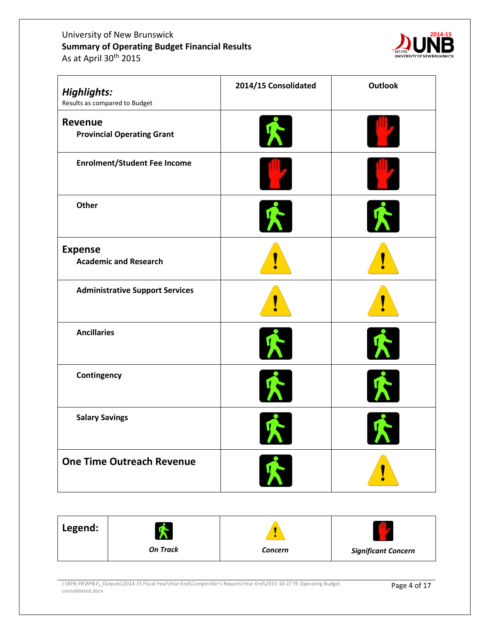# University of New Brunswick **Summary of Operating Budget Financial Results** As at April 30th 2015



<span id="page-3-0"></span>

| <b>Highlights:</b><br>Results as compared to Budget | 2014/15 Consolidated | <b>Outlook</b> |
|-----------------------------------------------------|----------------------|----------------|
| <b>Revenue</b><br><b>Provincial Operating Grant</b> | $\mathcal{R}$        |                |
| <b>Enrolment/Student Fee Income</b>                 | C Z                  |                |
| <b>Other</b>                                        | 下                    |                |
| <b>Expense</b>                                      |                      |                |
| <b>Academic and Research</b>                        |                      |                |
| <b>Administrative Support Services</b>              |                      |                |
| <b>Ancillaries</b>                                  | 个                    |                |
| Contingency                                         | 个                    |                |
| <b>Salary Savings</b>                               | $\mathbf{r}$         | 小              |
| <b>One Time Outreach Revenue</b>                    |                      |                |

**Legend:**  $\boldsymbol{\dot{\pi}}$ *On Track Concern Significant Concern*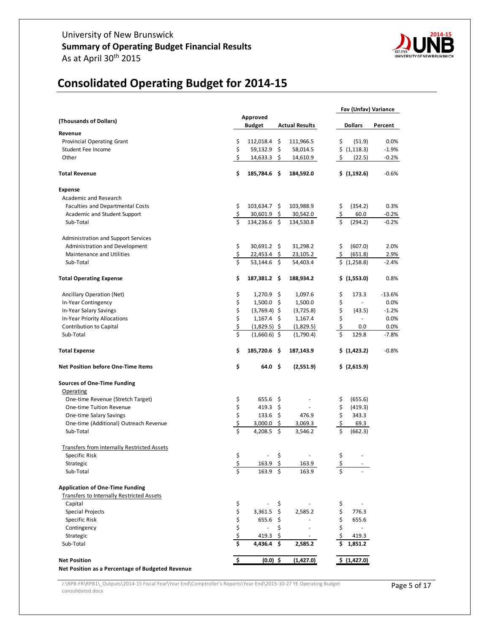

# <span id="page-4-0"></span>**Consolidated Operating Budget for 2014-15**

|                                                  |    |                              |                       |          | Fav (Unfav) Variance     |          |  |
|--------------------------------------------------|----|------------------------------|-----------------------|----------|--------------------------|----------|--|
| (Thousands of Dollars)                           |    | Approved                     |                       |          |                          |          |  |
|                                                  |    | <b>Budget</b>                | <b>Actual Results</b> |          | <b>Dollars</b>           | Percent  |  |
| Revenue<br>Provincial Operating Grant            | \$ | $112,018.4 \quad$ \$         | 111,966.5             | \$       | (51.9)                   | 0.0%     |  |
| Student Fee Income                               | \$ | 59,132.9 \$                  | 58,014.5              |          | \$ (1,118.3)             | $-1.9%$  |  |
| Other                                            | \$ | $14,633.3$ \$                | 14,610.9              | -\$      | (22.5)                   | $-0.2%$  |  |
|                                                  |    |                              |                       |          |                          |          |  |
| <b>Total Revenue</b>                             | \$ | 185,784.6 \$                 | 184,592.0             |          | \$ (1,192.6)             | $-0.6%$  |  |
| <b>Expense</b>                                   |    |                              |                       |          |                          |          |  |
| Academic and Research                            |    |                              |                       |          |                          |          |  |
| Faculties and Departmental Costs                 | \$ | $103,634.7$ \$               | 103,988.9             | \$       | (354.2)                  | 0.3%     |  |
| Academic and Student Support                     | \$ | $30,601.9$ \$                | 30,542.0              | \$       | 60.0                     | $-0.2%$  |  |
| Sub-Total                                        | Ś  | 134,236.6 \$                 | 134,530.8             | \$       | (294.2)                  | $-0.2%$  |  |
| Administration and Support Services              |    |                              |                       |          |                          |          |  |
| Administration and Development                   | \$ | $30,691.2$ \$                | 31,298.2              | \$       | (607.0)                  | 2.0%     |  |
| Maintenance and Utilities                        | \$ | $22,453.4$ \$                | 23,105.2              | \$       | (651.8)                  | 2.9%     |  |
| Sub-Total                                        | \$ | $53,144.6$ \$                | 54,403.4              |          | \$ (1,258.8)             | $-2.4%$  |  |
| <b>Total Operating Expense</b>                   | \$ | 187,381.2 \$                 | 188,934.2             |          | \$ (1,553.0)             | 0.8%     |  |
| Ancillary Operation (Net)                        | \$ |                              |                       |          | 173.3                    | $-13.6%$ |  |
|                                                  | \$ | $1,270.9$ \$<br>$1,500.0$ \$ | 1,097.6               | \$       |                          | 0.0%     |  |
| In-Year Contingency<br>In-Year Salary Savings    | \$ | $(3,769.4)$ \$               | 1,500.0               | \$<br>\$ | (43.5)                   | $-1.2%$  |  |
| In-Year Priority Allocations                     | \$ | $1,167.4$ \$                 | (3,725.8)<br>1,167.4  | \$       | $\overline{\phantom{a}}$ | 0.0%     |  |
| Contribution to Capital                          | \$ | $(1,829.5)$ \$               | (1,829.5)             | \$       | 0.0                      | 0.0%     |  |
| Sub-Total                                        | \$ | $(1,660.6)$ \$               | (1,790.4)             | \$       | 129.8                    | $-7.8%$  |  |
|                                                  |    |                              |                       |          |                          |          |  |
| <b>Total Expense</b>                             | \$ | 185,720.6 \$                 | 187,143.9             |          | \$ (1,423.2)             | $-0.8%$  |  |
| <b>Net Position before One-Time Items</b>        | \$ | 64.0%                        | (2,551.9)             |          | \$ (2,615.9)             |          |  |
| <b>Sources of One-Time Funding</b>               |    |                              |                       |          |                          |          |  |
| Operating                                        |    |                              |                       |          |                          |          |  |
| One-time Revenue (Stretch Target)                | \$ | 655.6                        | \$                    | \$       | (655.6)                  |          |  |
| One-time Tuition Revenue                         | \$ | 419.3 \$                     |                       | \$       | (419.3)                  |          |  |
| One-time Salary Savings                          | \$ | 133.6                        | \$<br>476.9           | \$       | 343.3                    |          |  |
| One-time (Additional) Outreach Revenue           | \$ | 3,000.0                      | \$<br>3,069.3         | \$       | 69.3                     |          |  |
| Sub-Total                                        | Ś  | 4,208.5                      | \$<br>3,546.2         | \$       | (662.3)                  |          |  |
| Transfers from Internally Restricted Assets      |    |                              |                       |          |                          |          |  |
| Specific Risk                                    | \$ |                              | \$                    | \$       |                          |          |  |
| Strategic                                        | ¢  | 163.9                        | \$<br>163.9           | ς.       |                          |          |  |
| Sub-Total                                        | \$ | 163.9                        | \$<br>163.9           | \$       |                          |          |  |
| <b>Application of One-Time Funding</b>           |    |                              |                       |          |                          |          |  |
| <b>Transfers to Internally Restricted Assets</b> |    |                              |                       |          |                          |          |  |
| Capital                                          | \$ |                              | \$                    | \$       |                          |          |  |
| <b>Special Projects</b>                          | \$ | 3,361.5                      | \$<br>2,585.2         | \$       | 776.3                    |          |  |
| Specific Risk                                    | \$ | $655.6$ \$                   |                       | \$       | 655.6                    |          |  |
| Contingency                                      | \$ | $\overline{\phantom{a}}$     | \$                    | \$       | ÷.                       |          |  |
| Strategic                                        | \$ | 419.3                        | \$                    | \$       | 419.3                    |          |  |
| Sub-Total                                        | \$ | 4,436.4                      | \$<br>2,585.2         |          | 1,851.2                  |          |  |
| <b>Net Position</b>                              | \$ | $(0.0)$ \$                   | (1, 427.0)            |          | \$(1,427.0)              |          |  |
| Net Position as a Percentage of Budgeted Revenue |    |                              |                       |          |                          |          |  |

J:\RPB-FR\RPB1\\_Outputs\2014-15 Fiscal Year\Year End\Comptroller's Reports\Year End\2015-10-27 YE Operating Budget **Page 5 of 17**<br>consolidated.docx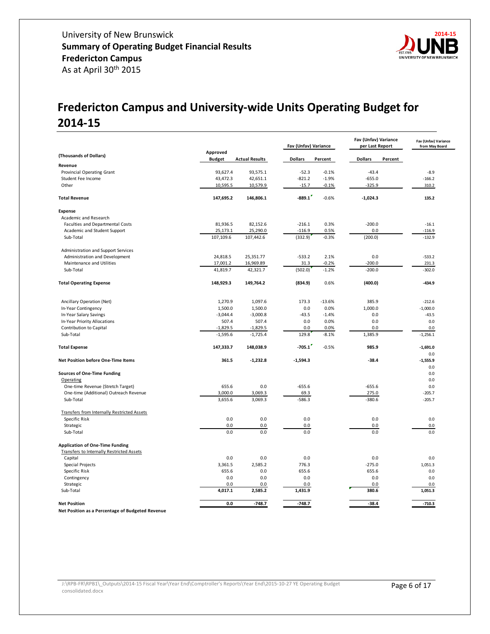

# <span id="page-5-0"></span>**Fredericton Campus and University-wide Units Operating Budget for 2014-15**

|                                                    |                           |                       | Fav (Unfav) Variance |          | Fav (Unfav) Variance<br>per Last Report | Fav (Unfav) Variance<br>from May Board |
|----------------------------------------------------|---------------------------|-----------------------|----------------------|----------|-----------------------------------------|----------------------------------------|
| (Thousands of Dollars)                             | Approved<br><b>Budget</b> | <b>Actual Results</b> | <b>Dollars</b>       | Percent  | <b>Dollars</b><br>Percent               |                                        |
| Revenue                                            |                           |                       |                      |          |                                         |                                        |
| Provincial Operating Grant                         | 93,627.4                  | 93,575.1              | $-52.3$              | $-0.1%$  | $-43.4$                                 | $-8.9$                                 |
| Student Fee Income                                 | 43,472.3                  | 42,651.1              | $-821.2$             | $-1.9%$  | $-655.0$                                | $-166.2$                               |
| Other                                              | 10,595.5                  | 10,579.9              | $-15.7$              | $-0.1%$  | $-325.9$                                | 310.2                                  |
| <b>Total Revenue</b>                               | 147,695.2                 | 146,806.1             | $-889.1$             | $-0.6%$  | $-1,024.3$                              | 135.2                                  |
| <b>Expense</b>                                     |                           |                       |                      |          |                                         |                                        |
| Academic and Research                              |                           |                       |                      |          |                                         |                                        |
| Faculties and Departmental Costs                   | 81,936.5                  | 82,152.6              | $-216.1$             | 0.3%     | $-200.0$                                | $-16.1$                                |
| Academic and Student Support                       | 25,173.1                  | 25,290.0              | $-116.9$             | 0.5%     | 0.0                                     | $-116.9$                               |
| Sub-Total                                          | 107,109.6                 | 107,442.6             | (332.9)              | $-0.3%$  | (200.0)                                 | $-132.9$                               |
| Administration and Support Services                |                           |                       |                      |          |                                         |                                        |
| Administration and Development                     | 24,818.5                  | 25,351.77             | $-533.2$             | 2.1%     | 0.0                                     | $-533.2$                               |
| Maintenance and Utilities                          | 17,001.2                  | 16,969.89             | 31.3                 | $-0.2%$  | $-200.0$                                | 231.3                                  |
| Sub-Total                                          | 41,819.7                  | 42,321.7              | (502.0)              | $-1.2%$  | $-200.0$                                | $-302.0$                               |
| <b>Total Operating Expense</b>                     | 148,929.3                 | 149,764.2             | (834.9)              | 0.6%     | (400.0)                                 | $-434.9$                               |
|                                                    |                           |                       |                      |          |                                         |                                        |
| Ancillary Operation (Net)                          | 1,270.9                   | 1,097.6               | 173.3                | $-13.6%$ | 385.9                                   | $-212.6$                               |
| In-Year Contingency                                | 1,500.0                   | 1,500.0               | 0.0                  | 0.0%     | 1,000.0                                 | $-1,000.0$                             |
| In-Year Salary Savings                             | $-3,044.4$                | $-3,000.8$            | $-43.5$              | $-1.4%$  | 0.0                                     | $-43.5$                                |
| In-Year Priority Allocations                       | 507.4                     | 507.4                 | 0.0                  | 0.0%     | 0.0                                     | 0.0                                    |
| Contribution to Capital                            | $-1.829.5$                | $-1,829.5$            | 0.0                  | 0.0%     | 0.0                                     | 0.0                                    |
| Sub-Total                                          | $-1,595.6$                | $-1,725.4$            | 129.8                | $-8.1%$  | 1,385.9                                 | $-1,256.1$                             |
| <b>Total Expense</b>                               | 147,333.7                 | 148,038.9             | $-705.1$             | $-0.5%$  | 985.9                                   | $-1,691.0$                             |
| Net Position before One-Time Items                 | 361.5                     | $-1,232.8$            | $-1,594.3$           |          | $-38.4$                                 | 0.0<br>$-1,555.9$                      |
|                                                    |                           |                       |                      |          |                                         | 0.0                                    |
| <b>Sources of One-Time Funding</b>                 |                           |                       |                      |          |                                         | 0.0                                    |
| Operating                                          |                           |                       |                      |          |                                         | 0.0                                    |
| One-time Revenue (Stretch Target)                  | 655.6                     | 0.0                   | $-655.6$             |          | $-655.6$                                | 0.0                                    |
| One-time (Additional) Outreach Revenue             | 3,000.0                   | 3,069.3               | 69.3                 |          | 275.0                                   | $-205.7$                               |
| Sub-Total                                          | 3,655.6                   | 3,069.3               | $-586.3$             |          | $-380.6$                                | $-205.7$                               |
| <b>Transfers from Internally Restricted Assets</b> |                           |                       |                      |          |                                         |                                        |
| Specific Risk                                      | 0.0                       | 0.0                   | 0.0                  |          | 0.0                                     | 0.0                                    |
| Strategic                                          | 0.0                       | 0.0                   | 0.0                  |          | 0.0                                     | 0.0                                    |
| Sub-Total                                          | 0.0                       | 0.0                   | 0.0                  |          | 0.0                                     | 0.0                                    |
| <b>Application of One-Time Funding</b>             |                           |                       |                      |          |                                         |                                        |
| Transfers to Internally Restricted Assets          |                           |                       |                      |          |                                         |                                        |
| Capital                                            | 0.0                       | 0.0                   | 0.0                  |          | 0.0                                     | 0.0                                    |
| Special Projects                                   | 3,361.5                   | 2,585.2               | 776.3                |          | $-275.0$                                | 1,051.3                                |
| Specific Risk                                      | 655.6                     | 0.0                   | 655.6                |          | 655.6                                   | 0.0                                    |
| Contingency                                        | 0.0                       | 0.0                   | 0.0                  |          | 0.0                                     | 0.0                                    |
| Strategic                                          | 0.0                       | 0.0                   | 0.0                  |          | 0.0                                     | 0.0                                    |
| Sub-Total                                          | 4,017.1                   | 2,585.2               | 1,431.9              |          | 380.6                                   | 1,051.3                                |
| <b>Net Position</b>                                | 0.0                       | $-748.7$              | $-748.7$             |          | $-38.4$                                 | $-710.3$                               |
| Net Position as a Percentage of Budgeted Revenue   |                           |                       |                      |          |                                         |                                        |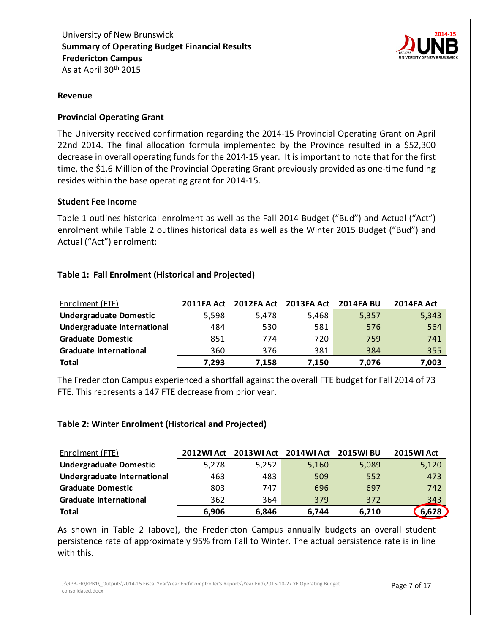

#### <span id="page-6-0"></span>**Revenue**

#### **Provincial Operating Grant**

The University received confirmation regarding the 2014-15 Provincial Operating Grant on April 22nd 2014. The final allocation formula implemented by the Province resulted in a \$52,300 decrease in overall operating funds for the 2014-15 year. It is important to note that for the first time, the \$1.6 Million of the Provincial Operating Grant previously provided as one-time funding resides within the base operating grant for 2014-15.

#### <span id="page-6-1"></span>**Student Fee Income**

Table 1 outlines historical enrolment as well as the Fall 2014 Budget ("Bud") and Actual ("Act") enrolment while Table 2 outlines historical data as well as the Winter 2015 Budget ("Bud") and Actual ("Act") enrolment:

#### **Table 1: Fall Enrolment (Historical and Projected)**

| Enrolment (FTE)               | 2011FA Act |       | 2012FA Act 2013FA Act 2014FA BU |       | <b>2014FA Act</b> |
|-------------------------------|------------|-------|---------------------------------|-------|-------------------|
| <b>Undergraduate Domestic</b> | 5,598      | 5.478 | 5,468                           | 5,357 | 5,343             |
| Undergraduate International   | 484        | 530   | 581                             | 576   | 564               |
| <b>Graduate Domestic</b>      | 851        | 774   | 720                             | 759   | 741               |
| <b>Graduate International</b> | 360        | 376   | 381                             | 384   | 355               |
| Total                         | 7.293      | 7.158 | 7.150                           | 7,076 | 7,003             |

The Fredericton Campus experienced a shortfall against the overall FTE budget for Fall 2014 of 73 FTE. This represents a 147 FTE decrease from prior year.

#### **Table 2: Winter Enrolment (Historical and Projected)**

| <b>Enrolment (FTE)</b>        | <b>2012WI Act</b> |       | 2013 WI Act 2014 WI Act | <b>2015WI BU</b> | <b>2015WI Act</b> |
|-------------------------------|-------------------|-------|-------------------------|------------------|-------------------|
| <b>Undergraduate Domestic</b> | 5.278             | 5,252 | 5,160                   | 5,089            | 5,120             |
| Undergraduate International   | 463               | 483   | 509                     | 552              | 473               |
| <b>Graduate Domestic</b>      | 803               | 747   | 696                     | 697              | 742               |
| <b>Graduate International</b> | 362               | 364   | 379                     | 372              | 343               |
| <b>Total</b>                  | 6.906             | 6,846 | 6.744                   | 6.710            | 6,678             |

As shown in Table 2 (above), the Fredericton Campus annually budgets an overall student persistence rate of approximately 95% from Fall to Winter. The actual persistence rate is in line with this.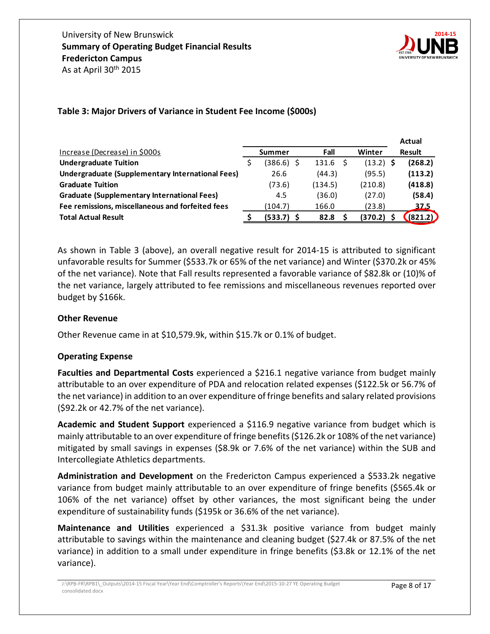

## **Table 3: Major Drivers of Variance in Student Fee Income (\$000s)**

|                                                    |            |                    |             | Actual        |
|----------------------------------------------------|------------|--------------------|-------------|---------------|
| Increase (Decrease) in \$000s                      | Summer     | Fall               | Winter      | <b>Result</b> |
| <b>Undergraduate Tuition</b>                       | (386.6) \$ | 131.6 <sup>5</sup> | $(13.2)$ \$ | (268.2)       |
| Undergraduate (Supplementary International Fees)   | 26.6       | (44.3)             | (95.5)      | (113.2)       |
| <b>Graduate Tuition</b>                            | (73.6)     | (134.5)            | (210.8)     | (418.8)       |
| <b>Graduate (Supplementary International Fees)</b> | 4.5        | (36.0)             | (27.0)      | (58.4)        |
| Fee remissions, miscellaneous and forfeited fees   | (104.7)    | 166.0              | (23.8)      | <u>37.5</u>   |
| <b>Total Actual Result</b>                         | (533.7) \$ | 82.8               | (370.2)     | (821.2)       |

As shown in Table 3 (above), an overall negative result for 2014-15 is attributed to significant unfavorable results for Summer (\$533.7k or 65% of the net variance) and Winter (\$370.2k or 45% of the net variance). Note that Fall results represented a favorable variance of \$82.8k or (10)% of the net variance, largely attributed to fee remissions and miscellaneous revenues reported over budget by \$166k.

#### <span id="page-7-0"></span>**Other Revenue**

Other Revenue came in at \$10,579.9k, within \$15.7k or 0.1% of budget.

#### <span id="page-7-1"></span>**Operating Expense**

**Faculties and Departmental Costs** experienced a \$216.1 negative variance from budget mainly attributable to an over expenditure of PDA and relocation related expenses (\$122.5k or 56.7% of the net variance) in addition to an over expenditure of fringe benefits and salary related provisions (\$92.2k or 42.7% of the net variance).

**Academic and Student Support** experienced a \$116.9 negative variance from budget which is mainly attributable to an over expenditure of fringe benefits (\$126.2k or 108% of the net variance) mitigated by small savings in expenses (\$8.9k or 7.6% of the net variance) within the SUB and Intercollegiate Athletics departments.

**Administration and Development** on the Fredericton Campus experienced a \$533.2k negative variance from budget mainly attributable to an over expenditure of fringe benefits (\$565.4k or 106% of the net variance) offset by other variances, the most significant being the under expenditure of sustainability funds (\$195k or 36.6% of the net variance).

**Maintenance and Utilities** experienced a \$31.3k positive variance from budget mainly attributable to savings within the maintenance and cleaning budget (\$27.4k or 87.5% of the net variance) in addition to a small under expenditure in fringe benefits (\$3.8k or 12.1% of the net variance).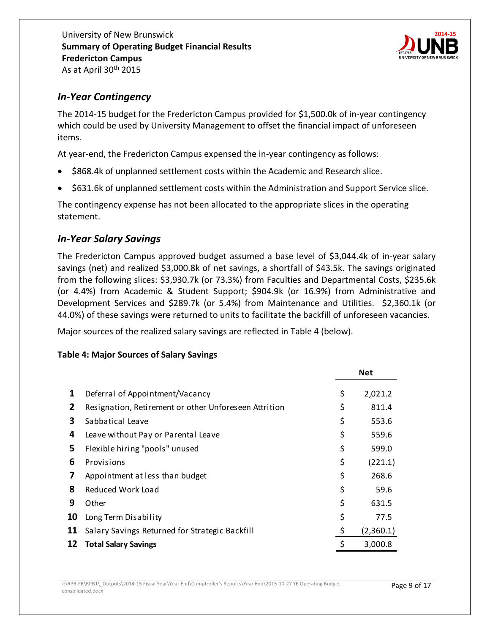University of New Brunswick **Summary of Operating Budget Financial Results Fredericton Campus** As at April 30<sup>th</sup> 2015



# <span id="page-8-0"></span>*In-Year Contingency*

The 2014-15 budget for the Fredericton Campus provided for \$1,500.0k of in-year contingency which could be used by University Management to offset the financial impact of unforeseen items.

At year-end, the Fredericton Campus expensed the in-year contingency as follows:

- \$868.4k of unplanned settlement costs within the Academic and Research slice.
- \$631.6k of unplanned settlement costs within the Administration and Support Service slice.

The contingency expense has not been allocated to the appropriate slices in the operating statement.

# <span id="page-8-1"></span>*In-Year Salary Savings*

The Fredericton Campus approved budget assumed a base level of \$3,044.4k of in-year salary savings (net) and realized \$3,000.8k of net savings, a shortfall of \$43.5k. The savings originated from the following slices: \$3,930.7k (or 73.3%) from Faculties and Departmental Costs, \$235.6k (or 4.4%) from Academic & Student Support; \$904.9k (or 16.9%) from Administrative and Development Services and \$289.7k (or 5.4%) from Maintenance and Utilities. \$2,360.1k (or 44.0%) of these savings were returned to units to facilitate the backfill of unforeseen vacancies.

Major sources of the realized salary savings are reflected in Table 4 (below).

# **Table 4: Major Sources of Salary Savings**

|           |                                                       | <b>Net</b>      |
|-----------|-------------------------------------------------------|-----------------|
| 1         | Deferral of Appointment/Vacancy                       | \$<br>2,021.2   |
| 2         | Resignation, Retirement or other Unforeseen Attrition | \$<br>811.4     |
| 3         | Sabbatical Leave                                      | \$<br>553.6     |
| 4         | Leave without Pay or Parental Leave                   | \$<br>559.6     |
| 5         | Flexible hiring "pools" unused                        | \$<br>599.0     |
| 6         | Provisions                                            | \$<br>(221.1)   |
| 7         | Appointment at less than budget                       | \$<br>268.6     |
| 8         | Reduced Work Load                                     | \$<br>59.6      |
| 9         | Other                                                 | \$<br>631.5     |
| <b>10</b> | Long Term Disability                                  | \$<br>77.5      |
| <b>11</b> | Salary Savings Returned for Strategic Backfill        | \$<br>(2,360.1) |
| 12        | <b>Total Salary Savings</b>                           | \$<br>3,000.8   |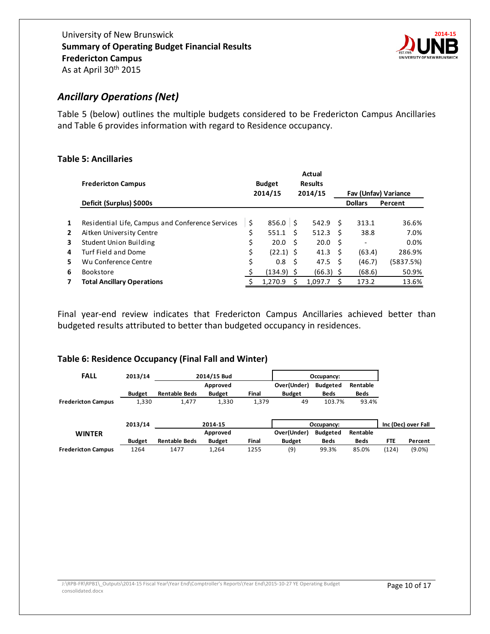

# <span id="page-9-0"></span>*Ancillary Operations (Net)*

Table 5 (below) outlines the multiple budgets considered to be Fredericton Campus Ancillaries and Table 6 provides information with regard to Residence occupancy.

#### **Table 5: Ancillaries**

|                | <b>Fredericton Campus</b>                        | <b>Budget</b><br>2014/15 |    | Actual<br><b>Results</b><br>2014/15 |      |                          | Fav (Unfav) Variance |
|----------------|--------------------------------------------------|--------------------------|----|-------------------------------------|------|--------------------------|----------------------|
|                | Deficit (Surplus) \$000s                         |                          |    |                                     |      | <b>Dollars</b>           | Percent              |
| $\mathbf{1}$   | Residential Life, Campus and Conference Services | \$<br>$856.0$   \$       |    | 542.9 <sup>5</sup>                  |      | 313.1                    | 36.6%                |
| $\overline{2}$ | Aitken University Centre                         | \$<br>551.1              | -Ŝ | 512.3 <sup>5</sup>                  |      | 38.8                     | 7.0%                 |
| 3              | Student Union Building                           | \$<br>20.0               | -Ś | 20.0                                | - \$ | $\overline{\phantom{a}}$ | 0.0%                 |
| 4              | Turf Field and Dome                              | \$<br>$(22.1)$ \$        |    | 41.3                                | - S  | (63.4)                   | 286.9%               |
| 5.             | Wu Conference Centre                             | \$<br>0.8                | -Ŝ | 47.5 <sup>5</sup>                   |      | (46.7)                   | (5837.5%)            |
| 6              | <b>Bookstore</b>                                 | $(134.9)$ \$             |    | $(66.3)$ \$                         |      | (68.6)                   | 50.9%                |
| 7              | <b>Total Ancillary Operations</b>                | 1.270.9                  |    | 1.097.7                             |      | 173.2                    | 13.6%                |

Final year-end review indicates that Fredericton Campus Ancillaries achieved better than budgeted results attributed to better than budgeted occupancy in residences.

#### **Table 6: Residence Occupancy (Final Fall and Winter)**

| <b>FALL</b>               | 2013/14       | 2014/15 Bud<br>Occupancy: |               |       |               |                 |             |            |           |
|---------------------------|---------------|---------------------------|---------------|-------|---------------|-----------------|-------------|------------|-----------|
|                           |               |                           | Approved      |       | Over(Under)   | <b>Budgeted</b> | Rentable    |            |           |
|                           | <b>Budget</b> | <b>Rentable Beds</b>      | <b>Budget</b> | Final | <b>Budget</b> | <b>Beds</b>     | <b>Beds</b> |            |           |
| <b>Fredericton Campus</b> | 1,330         | 1.477                     | 1,330         | 1,379 | 49            | 103.7%          | 93.4%       |            |           |
|                           |               |                           |               |       |               |                 |             |            |           |
|                           | 2013/14       |                           | 2014-15       |       |               | Occupancy:      |             |            |           |
| <b>WINTER</b>             |               |                           | Approved      |       | Over(Under)   | <b>Budgeted</b> | Rentable    |            |           |
|                           | <b>Budget</b> | <b>Rentable Beds</b>      | <b>Budget</b> | Final | <b>Budget</b> | <b>Beds</b>     | <b>Beds</b> | <b>FTE</b> | Percent   |
| <b>Fredericton Campus</b> | 1264          | 1477                      | 1.264         | 1255  | (9)           | 99.3%           | 85.0%       | (124)      | $(9.0\%)$ |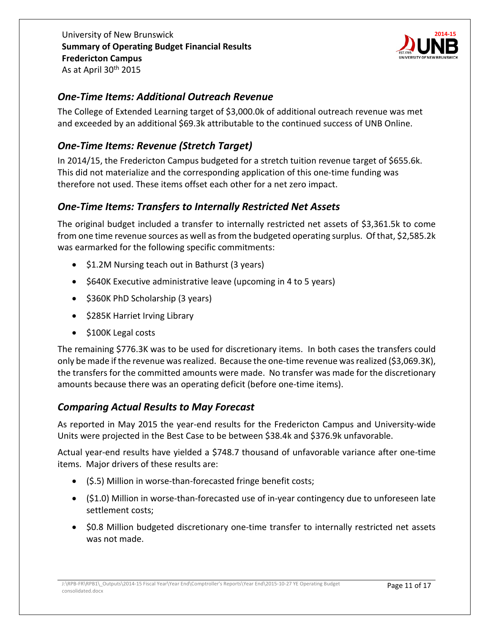University of New Brunswick **Summary of Operating Budget Financial Results Fredericton Campus** As at April 30<sup>th</sup> 2015



# <span id="page-10-0"></span>*One-Time Items: Additional Outreach Revenue*

The College of Extended Learning target of \$3,000.0k of additional outreach revenue was met and exceeded by an additional \$69.3k attributable to the continued success of UNB Online.

# <span id="page-10-1"></span>*One-Time Items: Revenue (Stretch Target)*

In 2014/15, the Fredericton Campus budgeted for a stretch tuition revenue target of \$655.6k. This did not materialize and the corresponding application of this one-time funding was therefore not used. These items offset each other for a net zero impact.

# <span id="page-10-2"></span>*One-Time Items: Transfers to Internally Restricted Net Assets*

The original budget included a transfer to internally restricted net assets of \$3,361.5k to come from one time revenue sources as well as from the budgeted operating surplus. Of that, \$2,585.2k was earmarked for the following specific commitments:

- \$1.2M Nursing teach out in Bathurst (3 years)
- \$640K Executive administrative leave (upcoming in 4 to 5 years)
- \$360K PhD Scholarship (3 years)
- \$285K Harriet Irving Library
- \$100K Legal costs

The remaining \$776.3K was to be used for discretionary items. In both cases the transfers could only be made if the revenue was realized. Because the one-time revenue was realized (\$3,069.3K), the transfers for the committed amounts were made. No transfer was made for the discretionary amounts because there was an operating deficit (before one-time items).

# <span id="page-10-3"></span>*Comparing Actual Results to May Forecast*

As reported in May 2015 the year-end results for the Fredericton Campus and University-wide Units were projected in the Best Case to be between \$38.4k and \$376.9k unfavorable.

Actual year-end results have yielded a \$748.7 thousand of unfavorable variance after one-time items. Major drivers of these results are:

- (\$.5) Million in worse-than-forecasted fringe benefit costs;
- (\$1.0) Million in worse-than-forecasted use of in-year contingency due to unforeseen late settlement costs;
- \$0.8 Million budgeted discretionary one-time transfer to internally restricted net assets was not made.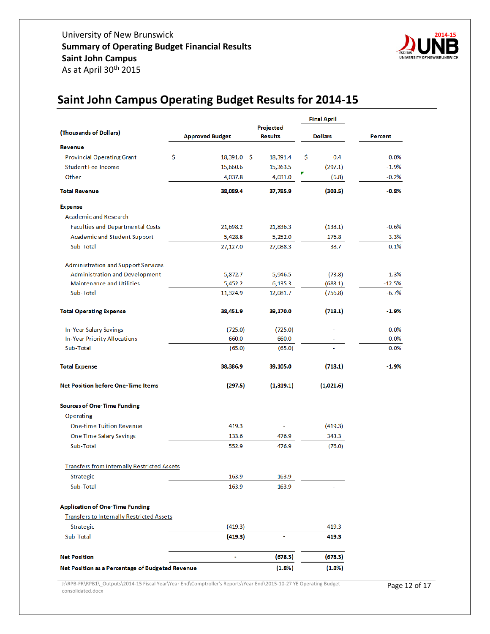

# <span id="page-11-0"></span>**Saint John Campus Operating Budget Results for 2014-15**

|                                                    |                        |                | <b>Final April</b> |          |
|----------------------------------------------------|------------------------|----------------|--------------------|----------|
| (Thousands of Dollars)                             |                        | Projected      |                    |          |
|                                                    | <b>Approved Budget</b> | <b>Results</b> | <b>Dollars</b>     | Percent  |
| <b>Revenue</b>                                     |                        |                |                    |          |
| \$<br><b>Provincial Operating Grant</b>            | $18,391.0$ \$          | 18,391.4       | \$<br>0.4          | 0.0%     |
| <b>Student Fee Income</b>                          | 15,660.6               | 15,363.5       | (297.1)            | $-1.9%$  |
| Other                                              | 4,037.8                | 4,031.0        | ۳<br>(6.8)         | $-0.2%$  |
| <b>Total Revenue</b>                               | 38,089.4               | 37,785.9       | (303.5)            | $-0.8%$  |
| <b>Expense</b>                                     |                        |                |                    |          |
| <b>Academic and Research</b>                       |                        |                |                    |          |
| <b>Faculties and Departmental Costs</b>            | 21,698.2               | 21,836.3       | (138.1)            | $-0.6%$  |
| <b>Academic and Student Support</b>                | 5,428.8                | 5,252.0        | 176.8              | 3.3%     |
| Sub-Total                                          | 27,127.0               | 27,088.3       | 38.7               | 0.1%     |
| <b>Administration and Support Services</b>         |                        |                |                    |          |
| <b>Administration and Development</b>              | 5,872.7                | 5,946.5        | (73.8)             | $-1.3%$  |
| Maintenance and Utilities                          | 5,452.2                | 6,135.3        | (683.1)            | $-12.5%$ |
| Sub-Total                                          | 11,324.9               | 12,081.7       | (756.8)            | $-6.7%$  |
| <b>Total Operating Expense</b>                     | 38,451.9               | 39,170.0       | (718.1)            | $-1.9%$  |
| <b>In-Year Salary Savings</b>                      | (725.0)                | (725.0)        |                    | 0.0%     |
| <b>In-Year Priority Allocations</b>                | 660.0                  | 660.0          |                    | 0.0%     |
| Sub-Total                                          | (65.0)                 | (65.0)         |                    | 0.0%     |
| <b>Total Expense</b>                               | 38,386.9               | 39,105.0       | (718.1)            | $-1.9\%$ |
| Net Position before One-Time Items                 | (297.5)                | (1,319.1)      | (1,021.6)          |          |
| Sources of One-Time Funding                        |                        |                |                    |          |
| Operating                                          |                        |                |                    |          |
| <b>One-time Tuition Revenue</b>                    | 419.3                  |                | (419.3)            |          |
| <b>One Time Salary Savings</b>                     | 133.6                  | 476.9          | 343.3              |          |
| Sub-Total                                          | 552.9                  | 476.9          | (76.0)             |          |
|                                                    |                        |                |                    |          |
| <b>Transfers from Internally Restricted Assets</b> |                        |                |                    |          |
| Strategic                                          | 163.9                  | 163.9          |                    |          |
| Sub-Total                                          | 163.9                  | 163.9          |                    |          |
| <b>Application of One-Time Funding</b>             |                        |                |                    |          |
| <b>Transfers to Internally Restricted Assets</b>   |                        |                |                    |          |
| Strategic                                          | (419.3)                |                | 419.3              |          |
| Sub-Total                                          | (419.3)                |                | 419.3              |          |
| <b>Net Position</b>                                | ä,                     | (678.3)        | (678.3)            |          |
| Net Position as a Percentage of Budgeted Revenue   |                        | $(1.8\%)$      | (1.8%)             |          |
|                                                    |                        |                |                    |          |

J:\RPB-FR\RPB1\\_Outputs\2014-15 Fiscal Year\Year End\Comptroller's Reports\Year End\2015-10-27 YE Operating Budget **Page 12 of 17**<br>consolidated.docx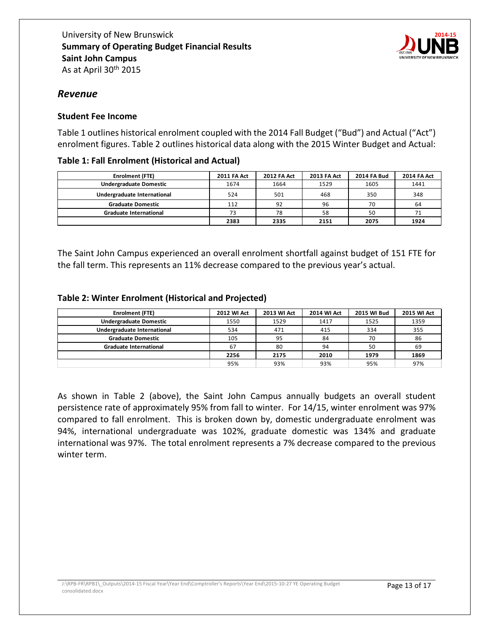

# <span id="page-12-0"></span>*Revenue*

#### <span id="page-12-1"></span>**Student Fee Income**

Table 1 outlines historical enrolment coupled with the 2014 Fall Budget ("Bud") and Actual ("Act") enrolment figures. Table 2 outlines historical data along with the 2015 Winter Budget and Actual:

#### **Table 1: Fall Enrolment (Historical and Actual)**

| Enrolment (FTE)               | <b>2011 FA Act</b> | <b>2012 FA Act</b> | 2013 FA Act | <b>2014 FA Bud</b> | 2014 FA Act |
|-------------------------------|--------------------|--------------------|-------------|--------------------|-------------|
| <b>Undergraduate Domestic</b> | 1674               | 1664               | 1529        | 1605               | 1441        |
| Undergraduate International   | 524                | 501                | 468         | 350                | 348         |
| <b>Graduate Domestic</b>      | 112                | 92                 | 96          | 70                 | 64          |
| <b>Graduate International</b> | 73                 | 78                 | 58          | 50                 | 71          |
|                               | 2383               | 2335               | 2151        | 2075               | 1924        |

The Saint John Campus experienced an overall enrolment shortfall against budget of 151 FTE for the fall term. This represents an 11% decrease compared to the previous year's actual.

#### **Table 2: Winter Enrolment (Historical and Projected)**

| <b>Enrolment (FTE)</b>        | <b>2012 WI Act</b> | 2013 WI Act | <b>2014 WI Act</b> | <b>2015 WI Bud</b> | <b>2015 WI Act</b> |
|-------------------------------|--------------------|-------------|--------------------|--------------------|--------------------|
| <b>Undergraduate Domestic</b> | 1550               | 1529        | 1417               | 1525               | 1359               |
| Undergraduate International   | 534                | 471         | 415                | 334                | 355                |
| <b>Graduate Domestic</b>      | 105                | 95          | 84                 | 70                 | 86                 |
| <b>Graduate International</b> | 67                 | 80          | 94                 | 50                 | 69                 |
|                               | 2256               | 2175        | 2010               | 1979               | 1869               |
|                               | 95%                | 93%         | 93%                | 95%                | 97%                |

As shown in Table 2 (above), the Saint John Campus annually budgets an overall student persistence rate of approximately 95% from fall to winter. For 14/15, winter enrolment was 97% compared to fall enrolment. This is broken down by, domestic undergraduate enrolment was 94%, international undergraduate was 102%, graduate domestic was 134% and graduate international was 97%. The total enrolment represents a 7% decrease compared to the previous winter term.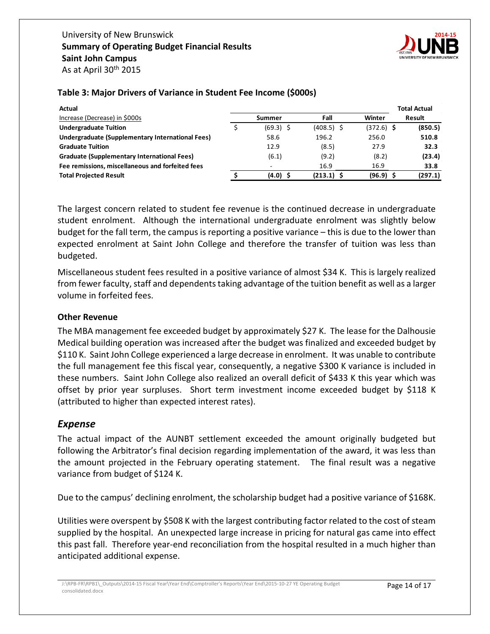

| Actual                                           |               |             |                |              | <b>Total Actual</b> |  |
|--------------------------------------------------|---------------|-------------|----------------|--------------|---------------------|--|
| Increase (Decrease) in \$000s                    | <b>Summer</b> |             | Fall<br>Winter |              | Result              |  |
| <b>Undergraduate Tuition</b>                     |               | $(69.3)$ \$ | $(408.5)$ \$   | $(372.6)$ \$ | (850.5)             |  |
| Undergraduate (Supplementary International Fees) |               | 58.6        | 196.2          | 256.0        | 510.8               |  |
| <b>Graduate Tuition</b>                          |               | 12.9        | (8.5)          | 27.9         | 32.3                |  |
| Graduate (Supplementary International Fees)      |               | (6.1)       | (9.2)          | (8.2)        | (23.4)              |  |
| Fee remissions, miscellaneous and forfeited fees |               |             | 16.9           | 16.9         | 33.8                |  |
| <b>Total Projected Result</b>                    |               | $(4.0)$ \$  | $(213.1)$ \$   | $(96.9)$ \$  | (297.1)             |  |

## **Table 3: Major Drivers of Variance in Student Fee Income (\$000s)**

The largest concern related to student fee revenue is the continued decrease in undergraduate student enrolment. Although the international undergraduate enrolment was slightly below budget for the fall term, the campus is reporting a positive variance – this is due to the lower than expected enrolment at Saint John College and therefore the transfer of tuition was less than budgeted.

Miscellaneous student fees resulted in a positive variance of almost \$34 K. This is largely realized from fewer faculty, staff and dependents taking advantage of the tuition benefit as well as a larger volume in forfeited fees.

#### <span id="page-13-0"></span>**Other Revenue**

The MBA management fee exceeded budget by approximately \$27 K. The lease for the Dalhousie Medical building operation was increased after the budget was finalized and exceeded budget by \$110 K. Saint John College experienced a large decrease in enrolment. It was unable to contribute the full management fee this fiscal year, consequently, a negative \$300 K variance is included in these numbers. Saint John College also realized an overall deficit of \$433 K this year which was offset by prior year surpluses. Short term investment income exceeded budget by \$118 K (attributed to higher than expected interest rates).

# <span id="page-13-1"></span>*Expense*

The actual impact of the AUNBT settlement exceeded the amount originally budgeted but following the Arbitrator's final decision regarding implementation of the award, it was less than the amount projected in the February operating statement. The final result was a negative variance from budget of \$124 K.

Due to the campus' declining enrolment, the scholarship budget had a positive variance of \$168K.

Utilities were overspent by \$508 K with the largest contributing factor related to the cost of steam supplied by the hospital. An unexpected large increase in pricing for natural gas came into effect this past fall. Therefore year-end reconciliation from the hospital resulted in a much higher than anticipated additional expense.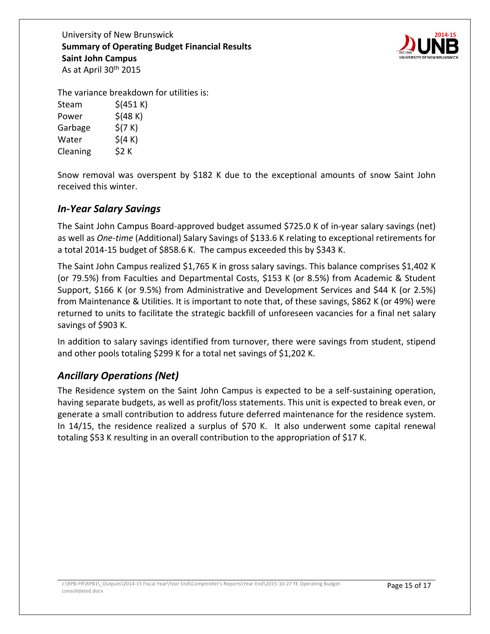University of New Brunswick **Summary of Operating Budget Financial Results Saint John Campus** As at April 30<sup>th</sup> 2015



The variance breakdown for utilities is:

| Steam    | $$$ (451 K) |
|----------|-------------|
| Power    | $$$ (48 K)  |
| Garbage  | \$(7 K)     |
| Water    | \$(4 K)     |
| Cleaning | \$2 K       |

Snow removal was overspent by \$182 K due to the exceptional amounts of snow Saint John received this winter.

# <span id="page-14-0"></span>*In-Year Salary Savings*

The Saint John Campus Board-approved budget assumed \$725.0 K of in-year salary savings (net) as well as *One-time* (Additional) Salary Savings of \$133.6 K relating to exceptional retirements for a total 2014-15 budget of \$858.6 K. The campus exceeded this by \$343 K.

The Saint John Campus realized \$1,765 K in gross salary savings. This balance comprises \$1,402 K (or 79.5%) from Faculties and Departmental Costs, \$153 K (or 8.5%) from Academic & Student Support, \$166 K (or 9.5%) from Administrative and Development Services and \$44 K (or 2.5%) from Maintenance & Utilities. It is important to note that, of these savings, \$862 K (or 49%) were returned to units to facilitate the strategic backfill of unforeseen vacancies for a final net salary savings of \$903 K.

In addition to salary savings identified from turnover, there were savings from student, stipend and other pools totaling \$299 K for a total net savings of \$1,202 K.

# <span id="page-14-1"></span>*Ancillary Operations (Net)*

The Residence system on the Saint John Campus is expected to be a self-sustaining operation, having separate budgets, as well as profit/loss statements. This unit is expected to break even, or generate a small contribution to address future deferred maintenance for the residence system. In 14/15, the residence realized a surplus of \$70 K. It also underwent some capital renewal totaling \$53 K resulting in an overall contribution to the appropriation of \$17 K.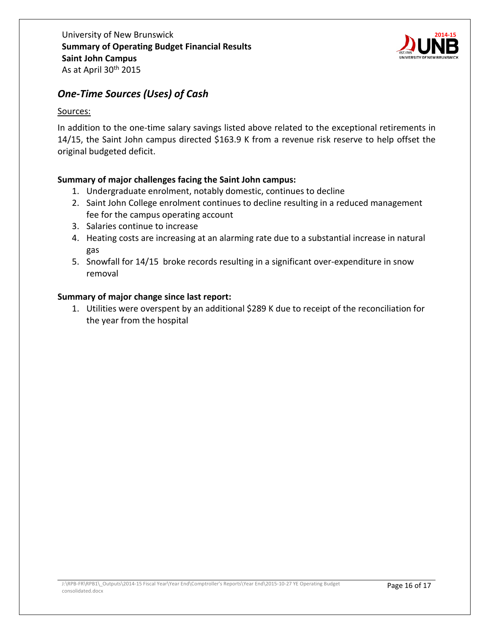

# <span id="page-15-0"></span>*One-Time Sources (Uses) of Cash*

#### Sources:

In addition to the one-time salary savings listed above related to the exceptional retirements in 14/15, the Saint John campus directed \$163.9 K from a revenue risk reserve to help offset the original budgeted deficit.

## **Summary of major challenges facing the Saint John campus:**

- 1. Undergraduate enrolment, notably domestic, continues to decline
- 2. Saint John College enrolment continues to decline resulting in a reduced management fee for the campus operating account
- 3. Salaries continue to increase
- 4. Heating costs are increasing at an alarming rate due to a substantial increase in natural gas
- 5. Snowfall for 14/15 broke records resulting in a significant over-expenditure in snow removal

#### **Summary of major change since last report:**

1. Utilities were overspent by an additional \$289 K due to receipt of the reconciliation for the year from the hospital